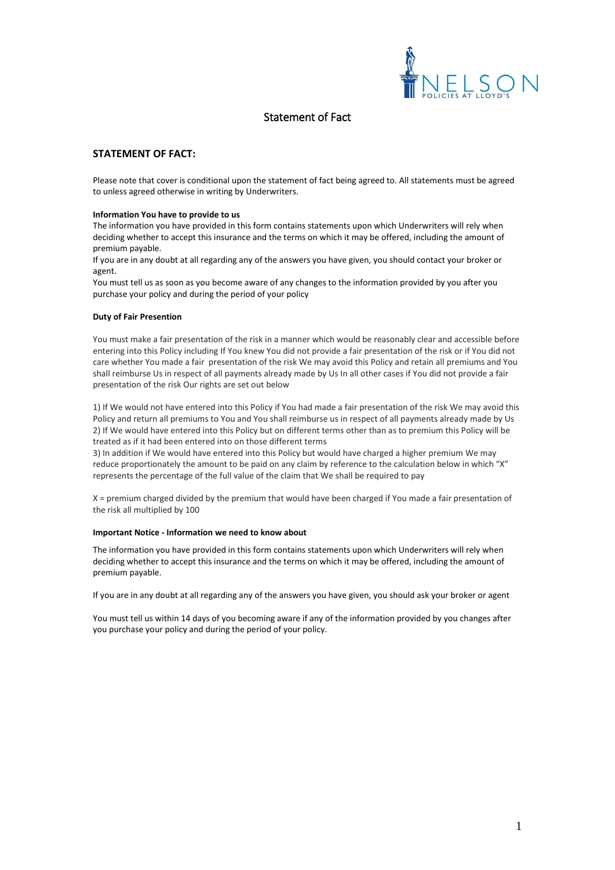

# Statement of Fact

# **STATEMENT OF FACT:**

Please note that cover is conditional upon the statement of fact being agreed to. All statements must be agreed to unless agreed otherwise in writing by Underwriters.

## **Information You have to provide to us**

The information you have provided in this form contains statements upon which Underwriters will rely when deciding whether to accept this insurance and the terms on which it may be offered, including the amount of premium payable.

If you are in any doubt at all regarding any of the answers you have given, you should contact your broker or agent.

You must tell us as soon as you become aware of any changes to the information provided by you after you purchase your policy and during the period of your policy

## **Duty of Fair Presention**

You must make a fair presentation of the risk in a manner which would be reasonably clear and accessible before entering into this Policy including If You knew You did not provide a fair presentation of the risk or if You did not care whether You made a fair presentation of the risk We may avoid this Policy and retain all premiums and You shall reimburse Us in respect of all payments already made by Us In all other cases if You did not provide a fair presentation of the risk Our rights are set out below

1) If We would not have entered into this Policy if You had made a fair presentation of the risk We may avoid this Policy and return all premiums to You and You shall reimburse us in respect of all payments already made by Us 2) If We would have entered into this Policy but on different terms other than as to premium this Policy will be treated as if it had been entered into on those different terms

3) In addition if We would have entered into this Policy but would have charged a higher premium We may reduce proportionately the amount to be paid on any claim by reference to the calculation below in which "X" represents the percentage of the full value of the claim that We shall be required to pay

X = premium charged divided by the premium that would have been charged if You made a fair presentation of the risk all multiplied by 100

#### **Important Notice - Information we need to know about**

The information you have provided in this form contains statements upon which Underwriters will rely when deciding whether to accept this insurance and the terms on which it may be offered, including the amount of premium payable.

If you are in any doubt at all regarding any of the answers you have given, you should ask your broker or agent

You must tell us within 14 days of you becoming aware if any of the information provided by you changes after you purchase your policy and during the period of your policy.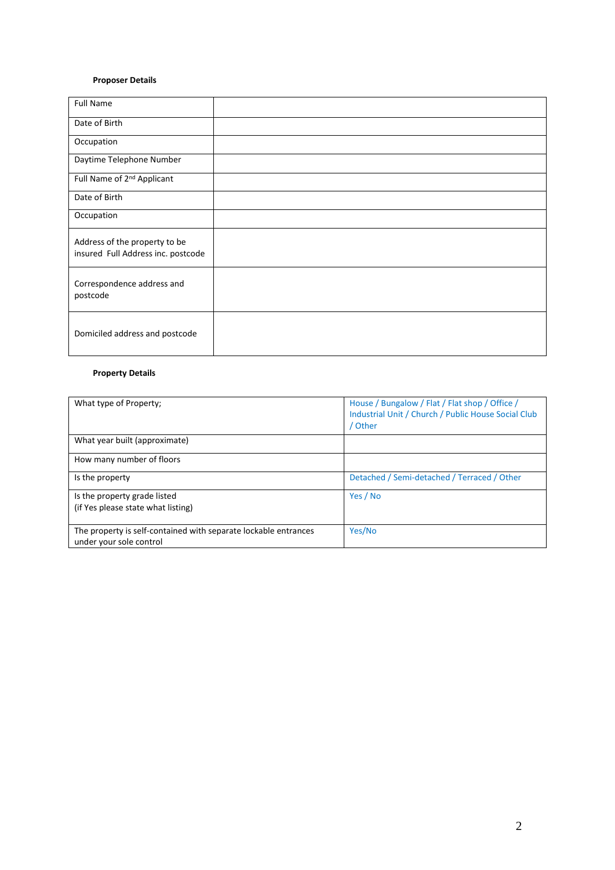# **Proposer Details**

| <b>Full Name</b>                                                    |  |
|---------------------------------------------------------------------|--|
| Date of Birth                                                       |  |
| Occupation                                                          |  |
| Daytime Telephone Number                                            |  |
| Full Name of 2 <sup>nd</sup> Applicant                              |  |
| Date of Birth                                                       |  |
| Occupation                                                          |  |
| Address of the property to be<br>insured Full Address inc. postcode |  |
| Correspondence address and<br>postcode                              |  |
| Domiciled address and postcode                                      |  |

# **Property Details**

| What type of Property;                                                                     | House / Bungalow / Flat / Flat shop / Office /<br>Industrial Unit / Church / Public House Social Club<br>/ Other |
|--------------------------------------------------------------------------------------------|------------------------------------------------------------------------------------------------------------------|
| What year built (approximate)                                                              |                                                                                                                  |
| How many number of floors                                                                  |                                                                                                                  |
| Is the property                                                                            | Detached / Semi-detached / Terraced / Other                                                                      |
| Is the property grade listed                                                               | Yes / No                                                                                                         |
| (if Yes please state what listing)                                                         |                                                                                                                  |
| The property is self-contained with separate lockable entrances<br>under your sole control | Yes/No                                                                                                           |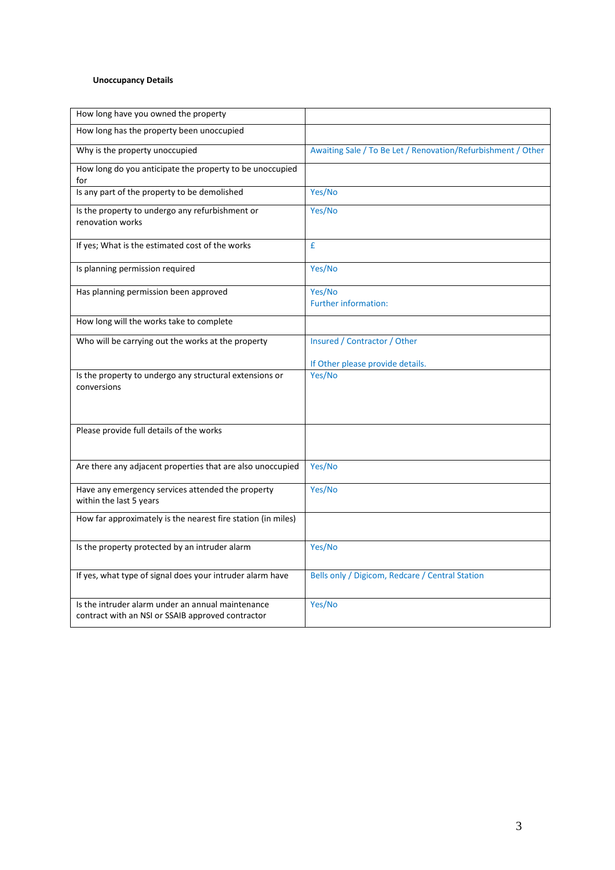# **Unoccupancy Details**

| How long have you owned the property                                                                   |                                                              |
|--------------------------------------------------------------------------------------------------------|--------------------------------------------------------------|
| How long has the property been unoccupied                                                              |                                                              |
| Why is the property unoccupied                                                                         | Awaiting Sale / To Be Let / Renovation/Refurbishment / Other |
| How long do you anticipate the property to be unoccupied<br>for                                        |                                                              |
| Is any part of the property to be demolished                                                           | Yes/No                                                       |
| Is the property to undergo any refurbishment or<br>renovation works                                    | Yes/No                                                       |
| If yes; What is the estimated cost of the works                                                        | £                                                            |
| Is planning permission required                                                                        | Yes/No                                                       |
| Has planning permission been approved                                                                  | Yes/No<br><b>Further information:</b>                        |
| How long will the works take to complete                                                               |                                                              |
| Who will be carrying out the works at the property                                                     | Insured / Contractor / Other                                 |
|                                                                                                        | If Other please provide details.                             |
| Is the property to undergo any structural extensions or<br>conversions                                 | Yes/No                                                       |
| Please provide full details of the works                                                               |                                                              |
| Are there any adjacent properties that are also unoccupied                                             | Yes/No                                                       |
| Have any emergency services attended the property<br>within the last 5 years                           | Yes/No                                                       |
| How far approximately is the nearest fire station (in miles)                                           |                                                              |
| Is the property protected by an intruder alarm                                                         | Yes/No                                                       |
| If yes, what type of signal does your intruder alarm have                                              | Bells only / Digicom, Redcare / Central Station              |
| Is the intruder alarm under an annual maintenance<br>contract with an NSI or SSAIB approved contractor | Yes/No                                                       |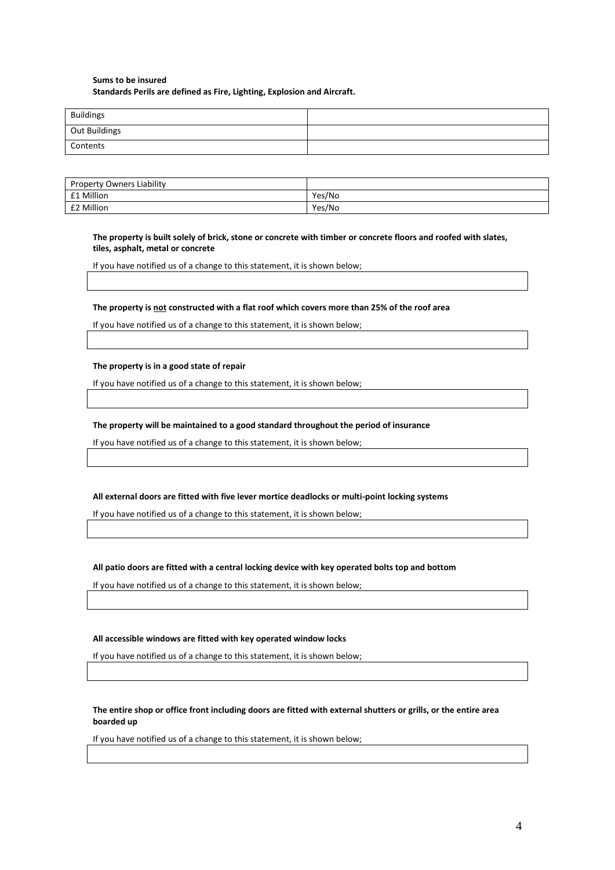# **Sums to be insured Standards Perils are defined as Fire, Lighting, Explosion and Aircraft.**

| <b>Buildings</b> |  |
|------------------|--|
| Out Buildings    |  |
| Contents         |  |

| <b>Property Owners Liability</b> |        |
|----------------------------------|--------|
| <b>£1 Million</b>                | Yes/No |
| <b>E2 Million</b>                | Yes/No |

## **The property is built solely of brick, stone or concrete with timber or concrete floors and roofed with slates, tiles, asphalt, metal or concrete**

If you have notified us of a change to this statement, it is shown below;

## **The property is not constructed with a flat roof which covers more than 25% of the roof area**

If you have notified us of a change to this statement, it is shown below;

## **The property is in a good state of repair**

If you have notified us of a change to this statement, it is shown below;

## **The property will be maintained to a good standard throughout the period of insurance**

If you have notified us of a change to this statement, it is shown below;

# **All external doors are fitted with five lever mortice deadlocks or multi-point locking systems**

If you have notified us of a change to this statement, it is shown below;

# **All patio doors are fitted with a central locking device with key operated bolts top and bottom**

If you have notified us of a change to this statement, it is shown below;

# **All accessible windows are fitted with key operated window locks**

If you have notified us of a change to this statement, it is shown below;

# **The entire shop or office front including doors are fitted with external shutters or grills, or the entire area boarded up**

If you have notified us of a change to this statement, it is shown below;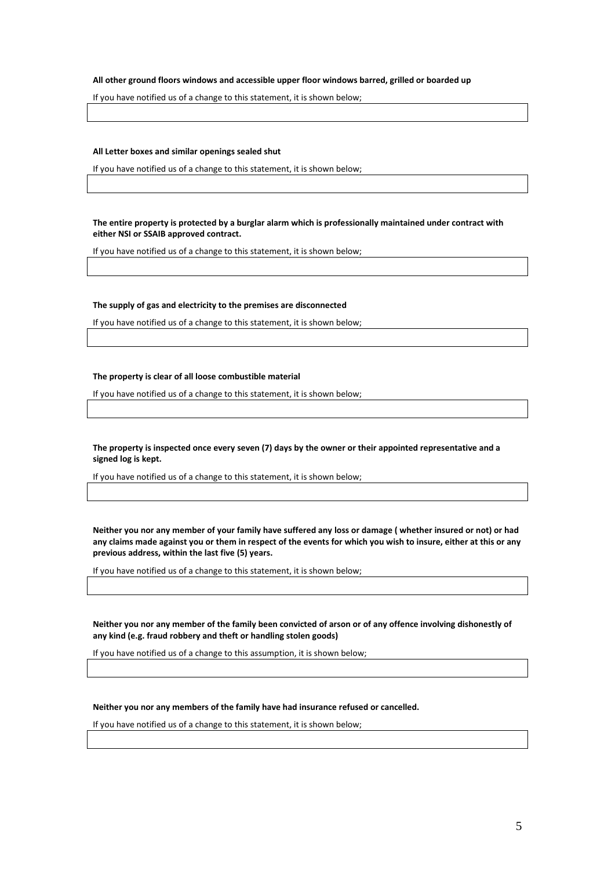#### **All other ground floors windows and accessible upper floor windows barred, grilled or boarded up**

If you have notified us of a change to this statement, it is shown below;

## **All Letter boxes and similar openings sealed shut**

If you have notified us of a change to this statement, it is shown below;

**The entire property is protected by a burglar alarm which is professionally maintained under contract with either NSI or SSAIB approved contract.**

If you have notified us of a change to this statement, it is shown below;

## **The supply of gas and electricity to the premises are disconnected**

If you have notified us of a change to this statement, it is shown below;

#### **The property is clear of all loose combustible material**

If you have notified us of a change to this statement, it is shown below;

**The property is inspected once every seven (7) days by the owner or their appointed representative and a signed log is kept.**

If you have notified us of a change to this statement, it is shown below;

**Neither you nor any member of your family have suffered any loss or damage ( whether insured or not) or had any claims made against you or them in respect of the events for which you wish to insure, either at this or any previous address, within the last five (5) years.**

If you have notified us of a change to this statement, it is shown below;

**Neither you nor any member of the family been convicted of arson or of any offence involving dishonestly of any kind (e.g. fraud robbery and theft or handling stolen goods)**

If you have notified us of a change to this assumption, it is shown below;

**Neither you nor any members of the family have had insurance refused or cancelled.**

If you have notified us of a change to this statement, it is shown below;